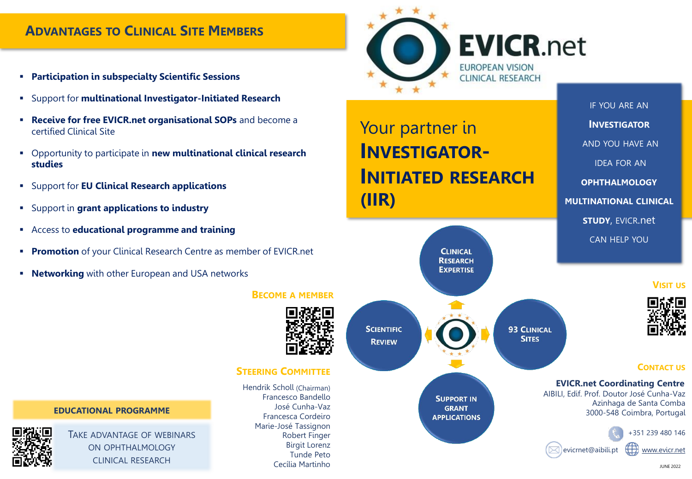# **ADVANTAGES TO CLINICAL SITE MEMBERS**

- **Participation in subspecialty Scientific Sessions**
- Support for **multinational Investigator-Initiated Research**
- **Receive for free EVICR.net organisational SOPs** and become a certified Clinical Site
- Opportunity to participate in **new multinational clinical research studies**
- Support for **EU Clinical Research applications**
- Support in **grant applications to industry**
- Access to **educational programme and training**
- **Promotion** of your Clinical Research Centre as member of EVICR.net
- **EXECT** Networking with other European and USA networks

### **BECOME A MEMBER**

**SCIENTIFIC** 

**REVIEW** 



**SUPPORT IN GRANT APPLICATIONS** 

**EVICR.net** 

**93 CLINICAL SITES** 

IF YOU ARE AN **INVESTIGATOR** AND YOU HAVE AN IDEA FOR AN **OPHTHALMOLOGY MULTINATIONAL CLINICAL STUDY**, EVICR.net CAN HELP YOU

#### **VISIT US**



### **CONTACT US**

**EVICR.net Coordinating Centre** AIBILI, Edif. Prof. Doutor José Cunha-Vaz Azinhaga de Santa Comba 3000-548 Coimbra, Portugal



**EDUCATIONAL PROGRAMME**



TAKE ADVANTAGE OF WEBINARS ON OPHTHALMOLOGY CLINICAL RESEARCH

Hendrik Scholl (Chairman) Francesco Bandello José Cunha-Vaz Francesca Cordeiro Marie-José Tassignon Robert Finger Birgit Lorenz Tunde Peto Cecília Martinho

**STEERING COMMITTEE**

JUNE 2022